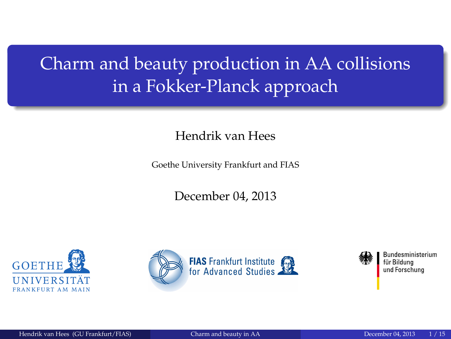# <span id="page-0-0"></span>Charm and beauty production in AA collisions in a Fokker-Planck approach

Hendrik van Hees

Goethe University Frankfurt and FIAS

December 04, 2013







Bundesministerium für Bildung und Forschung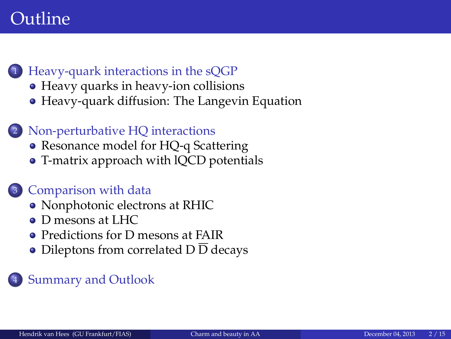## Outline

- <sup>1</sup> [Heavy-quark interactions in the sQGP](#page-2-0)
	- [Heavy quarks in heavy-ion collisions](#page-2-0)
	- [Heavy-quark diffusion: The Langevin Equation](#page-4-0)
	- Non-perturbative HO interactions
		- [Resonance model for HQ-q Scattering](#page-5-0)
		- [T-matrix approach with lQCD potentials](#page-6-0)

### <sup>3</sup> [Comparison with data](#page-8-0)

- [Nonphotonic electrons at RHIC](#page-8-0)
- [D mesons at LHC](#page-9-0)
- **[Predictions for D mesons at FAIR](#page-10-0)**
- [Dileptons from correlated D](#page-13-0) D decays

### **[Summary and Outlook](#page-14-0)**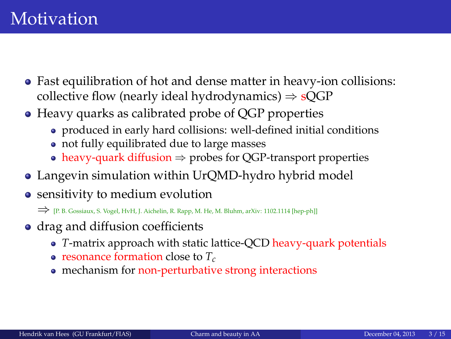- <span id="page-2-0"></span>• Fast equilibration of hot and dense matter in heavy-ion collisions: collective flow (nearly ideal hydrodynamics)  $\Rightarrow$  sOGP
- Heavy quarks as calibrated probe of QGP properties
	- produced in early hard collisions: well-defined initial conditions
	- not fully equilibrated due to large masses
	- heavy-quark diffusion  $\Rightarrow$  probes for OGP-transport properties
- Langevin simulation within UrQMD-hydro hybrid model
- sensitivity to medium evolution

⇒ [P. B. Gossiaux, S. Vogel, HvH, J. Aichelin, R. Rapp, M. He, M. Bluhm, arXiv: 1102.1114 [hep-ph]]

- drag and diffusion coefficients
	- *T*-matrix approach with static lattice-QCD heavy-quark potentials
	- resonance formation close to *Tc*
	- mechanism for non-perturbative strong interactions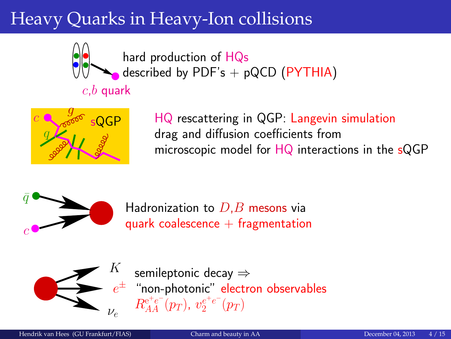# Heavy Quarks in Heavy-Ion collisions



hard production of HQs described by  $PDF's + pQCD$  ( $PYTHIA$ )

### $c,b$  quark



HQ rescattering in QGP: Langevin simulation drag and diffusion coefficients from microscopic model for HQ interactions in the sQGP



Hadronization to  $D,B$  mesons via quark coalescence  $+$  fragmentation



 $e^\pm$  "non-photonic" electron observables semileptonic decay ⇒  $R_{AA}^{\mathrm{e^+e^-}}(p_T),\ v_{2}^{e^+e^-}(p_T)$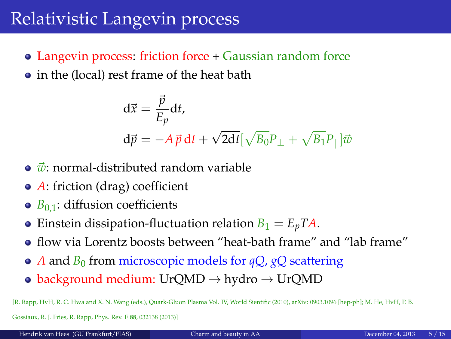### <span id="page-4-0"></span>Relativistic Langevin process

- Langevin process: friction force + Gaussian random force
- in the (local) rest frame of the heat bath

$$
\begin{aligned} \mathbf{d}\vec{x} &= \frac{\vec{p}}{E_p} \mathbf{d}t, \\ \mathbf{d}\vec{p} &= -A\,\vec{p}\,\mathbf{d}t + \sqrt{2\mathbf{d}t} \left[\sqrt{B_0}P_\perp + \sqrt{B_1}P_\parallel\right] \vec{w} \end{aligned}
$$

- $\vec{w}$ : normal-distributed random variable
- *A*: friction (drag) coefficient
- $\bullet$  *B*<sub>0.1</sub>: diffusion coefficients
- Einstein dissipation-fluctuation relation  $B_1 = E_p T A$ .
- flow via Lorentz boosts between "heat-bath frame" and "lab frame"
- *A* and *B*<sup>0</sup> from microscopic models for *qQ*, *gQ* scattering
- background medium: UrQMD  $\rightarrow$  hydro  $\rightarrow$  UrQMD

[R. Rapp, HvH, R. C. Hwa and X. N. Wang (eds.), Quark-Gluon Plasma Vol. IV, World Sientific (2010), arXiv: 0903.1096 [hep-ph]; M. He, HvH, P. B.

Gossiaux, R. J. Fries, R. Rapp, Phys. Rev. E **88**, 032138 (2013)]

Hendrik van Hees (GU Frankfurt/FIAS) [Charm and beauty in AA](#page-0-0) December 04, 2013 5 / 15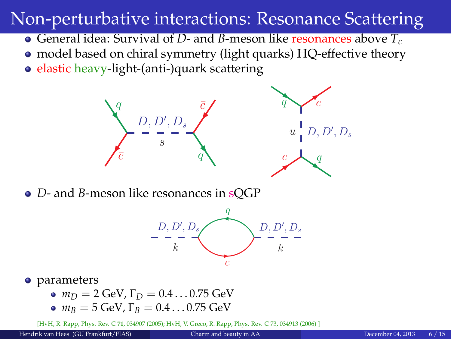## <span id="page-5-0"></span>Non-perturbative interactions: Resonance Scattering

- General idea: Survival of *D* and *B*-meson like resonances above *T<sup>c</sup>*
- model based on chiral symmetry (light quarks) HQ-effective theory
- elastic heavy-light-(anti-)quark scattering



*D*- and *B*-meson like resonances in sQGP



#### • parameters

- $m_D = 2$  GeV,  $\Gamma_D = 0.4 \dots 0.75$  GeV
- $m_B = 5$  GeV,  $\Gamma_B = 0.4 \dots 0.75$  GeV

[HvH, R. Rapp, Phys. Rev. C **71**, 034907 (2005); HvH, V. Greco, R. Rapp, Phys. Rev. C 73, 034913 (2006) ]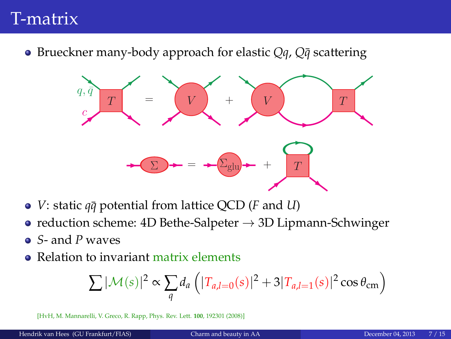### <span id="page-6-0"></span>T-matrix

● Brueckner many-body approach for elastic *Qq*, *Q* $\bar{q}$  scattering



- *V*: static  $q\bar{q}$  potential from lattice QCD (*F* and *U*)
- reduction scheme: 4D Bethe-Salpeter  $\rightarrow$  3D Lipmann-Schwinger
- *S* and *P* waves
- Relation to invariant matrix elements

$$
\sum |\mathcal{M}(s)|^2 \propto \sum_{q} d_a \left( |T_{a,l=0}(s)|^2 + 3|T_{a,l=1}(s)|^2 \cos \theta_{\rm cm} \right)
$$

[HvH, M. Mannarelli, V. Greco, R. Rapp, Phys. Rev. Lett. **100**, 192301 (2008)]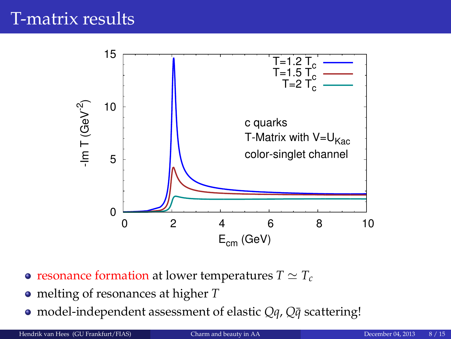### T-matrix results



- resonance formation at lower temperatures  $T \simeq T_c$
- melting of resonances at higher *T*
- model-independent assessment of elastic *Qq*, *Q* $\bar{q}$  scattering!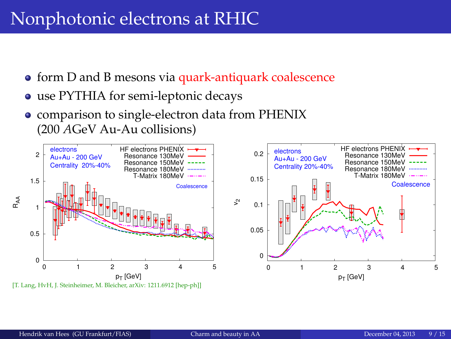# <span id="page-8-0"></span>Nonphotonic electrons at RHIC

- **•** form D and B mesons via quark-antiquark coalescence
- use PYTHIA for semi-leptonic decays
- comparison to single-electron data from PHENIX (200 *A*GeV Au-Au collisions)

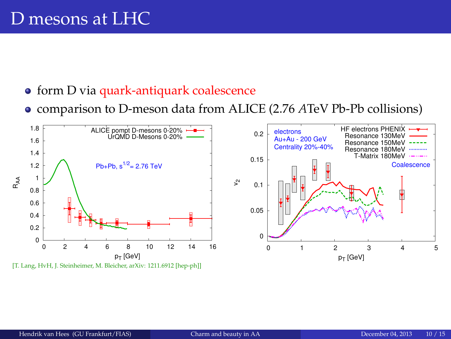### <span id="page-9-0"></span>D mesons at LHC

- **•** form D via quark-antiquark coalescence
- comparison to D-meson data from ALICE (2.76 *A*TeV Pb-Pb collisions)



[T. Lang, HyH, J. Steinheimer, M. Bleicher, arXiv: 1211.6912 [hep-ph]]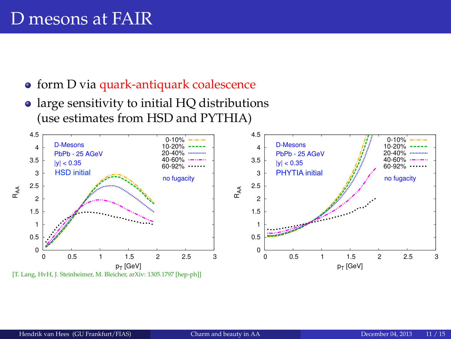### <span id="page-10-0"></span>D mesons at FAIR

- **•** form D via quark-antiquark coalescence
- large sensitivity to initial HQ distributions (use estimates from HSD and PYTHIA)

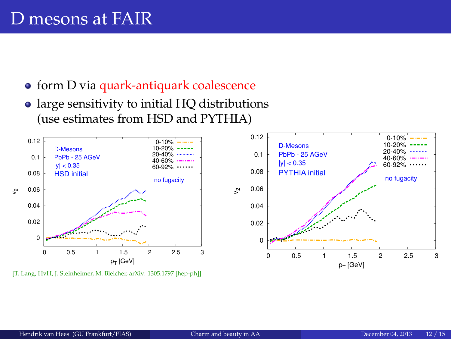- form D via quark-antiquark coalescence
- large sensitivity to initial HQ distributions (use estimates from HSD and PYTHIA)



[T. Lang, HyH, J. Steinheimer, M. Bleicher, arXiv: 1305.1797 [hep-ph]]



0-10% 10-20%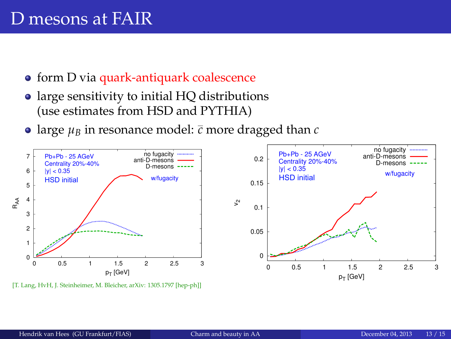- form D via quark-antiquark coalescence
- large sensitivity to initial HQ distributions (use estimates from HSD and PYTHIA)
- large  $\mu_B$  in resonance model:  $\bar{c}$  more dragged than  $c$



[T. Lang, HvH, J. Steinheimer, M. Bleicher, arXiv: 1305.1797 [hep-ph]]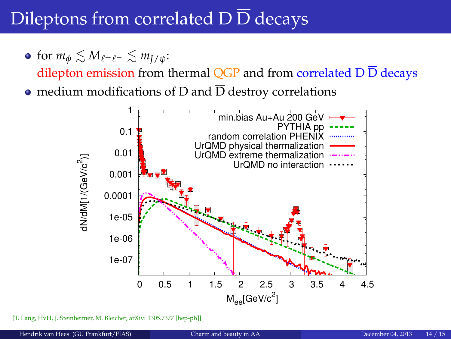# <span id="page-13-0"></span>Dileptons from correlated  $\overline{D} \overline{D}$  decays

• for  $m_{\phi} \lesssim M_{\ell^+ \ell^-} \lesssim m_{\bar{I}/\psi}$ :

dilepton emission from thermal OGP and from correlated  $D\overline{D}$  decays

• medium modifications of D and  $\overline{D}$  destroy correlations



[T. Lang, HyH, J. Steinheimer, M. Bleicher, arXiv: 1305.7377 [hep-ph]]